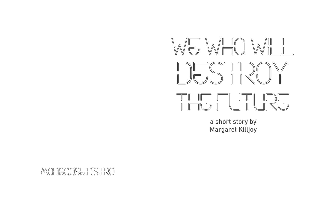

## a short story by Margaret Killjoy

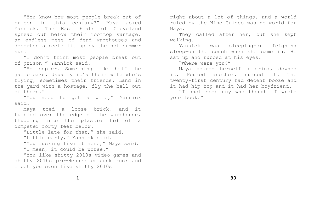"You know how most people break out of prison in this century?" Maya asked Yannick. The East Flats of Cleveland spread out below their rooftop vantage, an endless mess of dead warehouses and deserted streets lit up by the hot summer sun.

"I don't think most people break out of prison," Yannick said.

"Helicopter. Something like half the jailbreaks. Usually it's their wife who's flying, sometimes their friends. Land in the yard with a hostage, fly the hell out of there."

"You need to get a wife," Yannick said.

Maya toed a loose brick, and it tumbled over the edge of the warehouse, thudding into the plastic lid of a dumpster forty feet below.

"Little late for that," she said. "Little early," Yannick said. "You fucking like it here," Maya said. "I mean, it could be worse."

"You like shitty 2010s video games and shitty 2010s pre-Hennesian punk rock and I bet you even like shitty 2010s

right about a lot of things, and a world ruled by the Nine Guides was no world for Maya.

They called after her, but she kept walking.

Yannick was sleeping–or feigning sleep–on the couch when she came in. He sat up and rubbed at his eyes. "Where were you?" Maya poured herself a drink, downed it. Poured another, nursed it. The twenty-first century had decent booze and it had hip-hop and it had her boyfriend. "I shot some guy who thought I wrote your book."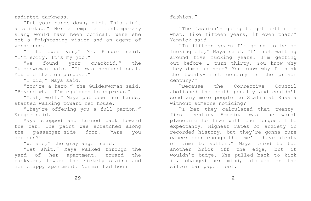fashion."

"The fashion's going to get better in what, like fifteen years, if even that?" Yannick said.

"In fifteen years I'm going to be so fucking old," Maya said. "I'm not waiting around five fucking years. I'm getting out before I turn thirty. You know why they dump us here? You know why I think the twenty-first century is the prison century?"

"Because the Corrective Council abolished the death penalty and couldn't send any more people to Stalinist Russia without someone noticing?"

"I bet they calculated that twentyfirst century America was the worst placetime to live with the longest life expectancy. Highest rates of anxiety in recorded history, but they're gonna cure cancer soon enough that we'll have plenty of time to suffer." Maya tried to toe another brick off the edge, but it wouldn't budge. She pulled back to kick it, changed her mind, stomped on the silver tar paper roof.

radiated darkness.

"Put your hands down, girl. This ain't a stickup." Her attempt at contemporary slang would have been comical, were she not a frightening vision and an agent of vengeance.

"I followed you," Mr. Kruger said. "I'm sorry. It's my job."

"We found your crackoid," the Guideswoman said. "It was nonfunctional. You did that on purpose."

"I did," Maya said.

"You're a hero," the Guideswoman said. "Beyond what I'm equipped to express."

"Yeah, well." Maya put down her hands, started walking toward her house.

"They're offering you a full pardon," Kruger said.

Maya stopped and turned back toward the car. The paint was scratched along the passenger-side door. "Are you serious?"

"We are," the gray angel said.

"Eat shit." Maya walked through the yard of her apartment, toward the backyard, toward the rickety stairs and her crappy apartment. Norman had been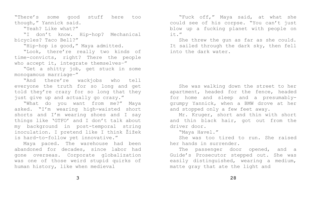"There's some good stuff here too though," Yannick said.

"Yeah? Like what?"

"Look, there're really two kinds of time-convicts, right? There the people who accept it, integrate themselves-"

"I don't know. Hip-hop? Mechanical bicycles? Taco Bell?"

"Hip-hop is good," Maya admitted.

"Get a shitty job, get stuck in some monogamous marriage–"

"And there're wackjobs who tell everyone the truth for so long and get told they're crazy for so long that they just give up and actually go crazy."

"What do you want from me?" Maya asked. "I'm wearing high-waisted short shorts and I'm wearing shoes and I say things like 'GTFO' and I don't talk about my background in post-temporal string inoculation. I pretend like I think Žižek is hard-to-follow yet innovative."

Maya paced. The warehouse had been abandoned for decades, since labor had gone overseas. Corporate globalization was one of those weird stupid quirks of human history, like when medieval

**3**

"Fuck off," Maya said, at what she could see of his corpse. "You can't just blow up a fucking planet with people on it."

She threw the gun as far as she could. It sailed through the dark sky, then fell into the dark water.

She was walking down the street to her apartment, headed for the fence, headed for home and sleep and a presumablygrumpy Yannick, when a BMW drove at her and stopped only a few feet away. Mr. Kruger, short and thin with short and thin black hair, got out from the driver door.

"Maya Havel." She was too tired to run. She raised her hands in surrender. The passenger door opened, and a Guide's Prosecutor stepped out. She was easily distinguished, wearing a medium, matte gray that ate the light and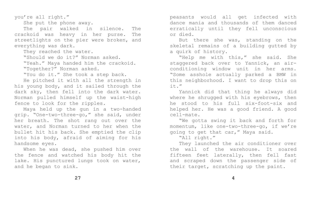peasants would all get infected with dance mania and thousands of them danced erratically until they fell unconscious or died.

But there she was, standing on the skeletal remains of a building gutted by a quirk of history.

"Help me with this," she said. She staggered back over to Yannick, an airconditioning window unit in her arms. "Some asshole actually parked a BMW in this neighborhood. I want to drop this on it."

Yannick did that thing he always did where he shrugged with his eyebrows, then he stood to his full six-foot-six and helped her. He was a good friend. A good cell-mate.

"We gotta swing it back and forth for momentum, like one-two-three-go, if we're going to get that car," Maya said. "All right."

They launched the air conditioner over the wall of the warehouse. It soared fifteen feet laterally, then fell fast and scraped down the passenger side of their target, scratching up the paint.

**4**

When he was dead, she pushed him over the fence and watched his body hit the lake. His punctured lungs took on water, and he began to sink.

you're all right."

She put the phone away.

The pair walked in silence. The crackoid was heavy in her purse. The streetlights on the pier were broken, and everything was dark.

They reached the water.

"Should we do it?" Norman asked.

"Yeah." Maya handed him the crackoid. "Together?" Norman asked.

"You do it." She took a step back.

He pitched it with all the strength in his young body, and it sailed through the dark sky, then fell into the dark water. Norman pulled himself up the waist-high fence to look for the ripples.

Maya held up the gun in a two-handed grip. "One-two-three-go," she said, under her breath. The shot rang out over the water, and Norman turned to her when the bullet hit his back. She emptied the clip into his body, afraid of aiming for his handsome eyes.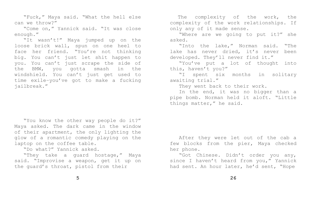"Fuck," Maya said. "What the hell else can we throw?"

"Come on," Yannick said. "It was close enough."

"It wasn't!" Maya jumped up on the loose brick wall, spun on one heel to face her friend. "You're not thinking big. You can't just let shit happen to you. You can't just scrape the side of the BMW, you gotta smash in the windshield. You can't just get used to time exile–you've got to make a fucking jailbreak."

"You know the other way people do it?" Maya asked. The dark came in the window of their apartment, the only lighting the glow of a romantic comedy playing on the laptop on the coffee table.

"Do what?" Yannick asked.

"They take a guard hostage," Maya said. "Improvise a weapon, get it up on the guard's throat, pistol from their

 The complexity of the work, the complexity of the work relationships. If only any of it made sense. "Where are we going to put it?" she asked.

"Into the lake," Norman said. "The lake has never dried, it's never been developed. They'll never find it." "You've put a lot of thought into this, haven't you?" "I spent six months in solitary awaiting trial." They went back to their work. In the end, it was no bigger than a pipe bomb. Norman held it aloft. "Little things matter," he said.

After they were let out of the cab a few blocks from the pier, Maya checked her phone.

"Got Chinese. Didn't order you any, since I haven't heard from you," Yannick had sent. An hour later, he'd sent, "Hope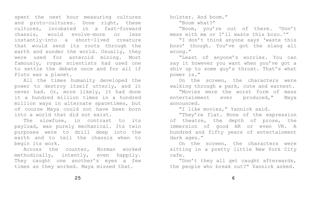holster. And boom." "Boom what?"

"Boom, you're out of there. 'Don't mess with me or I'll waste this bozo.'" "I don't think anyone says 'waste this bozo' though. You've got the slang all

wrong."

"Least of anyone's worries. You can say it however you want when you've got a shiv up to some guy's throat. That's what power is."

On the screen, the characters were walking through a park, cute and earnest. "Movies were the worst form of mass entertainment ever produced," Maya announced.

"I like movies," Yannick said. "They're flat. None of the expression of theatre, the depth of prose, the immersion of good AR or even VR. A hundred and fifty years of entertainment dark ages."

On the screen, the characters were sitting in a pretty little New York City cafe.

"Don't they all get caught afterwards, the people who break out?" Yannick asked.

spent the next hour measuring cultures and proto-cultures. Done right, these cultures, incubated in a fast-forward chassis, would evolve–more or less instantly–into a short-lived creature that would send its roots through the earth and sunder the world. Usually, they were used for asteroid mining. Most famously, rogue scientists had used one to settle the debate once and for all if Pluto was a planet.

All the times humanity developed the power to destroy itself utterly, and it never had. Or, more likely, it had done it a hundred million times in a hundred million ways in alternate spacetimes, but of course Maya could not have been born into a world that did not exist.

The slowfuse, in contrast to its payload, was purely mechanical. Its twin purposes were to drill deep into the earth and to tell the chassis when to begin its work.

Across the counter, Norman worked methodically, intently, even happily. They caught one another's eyes a few times as they worked. Maya missed that.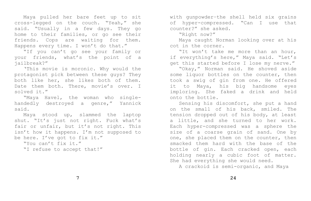Maya pulled her bare feet up to sit cross-legged on the couch. "Yeah," she said. "Usually in a few days. They go home to their families, or go see their friends. Cops are waiting for them. Happens every time. I won't do that."

"If you can't go see your family or your friends, what's the point of a jailbreak?"

'This movie is moronic. Why would the protagonist pick between these guys? They both like her, she likes both of them. Date them both. There, movie's over. I solved it."

"Maya Havel, the woman who singlehandedly destroyed a genre," Yannick said.

Maya stood up, slammed the laptop shut. "It's just not right. Fuck what's fair or unfair, but it's not right. This isn't how it happens. I'm not supposed to be here. I've got to fix it."

"You can't fix it." "I refuse to accept that!" with gunpowder–the shell held six grains of hyper-compressed. "Can I use that counter?" she asked. "Right now?"

Maya caught Norman looking over at his cot in the corner.

"It won't take me more than an hour, if everything's here," Maya said. "Let's get this started before I lose my nerve." "Okay," Norman said. He shoved aside some liquor bottles on the counter, then took a swig of gin from one. He offered it to Maya, his big handsome eyes imploring. She faked a drink and held

onto the bottle.

Sensing his discomfort, she put a hand on the small of his back, smiled. The tension dropped out of his body, at least a little, and she turned to her work. Each hyper-compressed was a sphere the size of a coarse grain of sand. One by one, she placed them on the counter, then smacked them hard with the base of the bottle of gin. Each cracked open, each holding nearly a cubic foot of matter. She had everything she would need. A crackoid is semi-organic, and Maya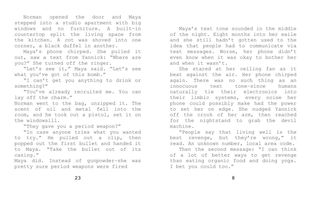Maya's text tone sounded in the middle of the night. Eight months into her exile and she still hadn't gotten used to the idea that people had to communicate via text messages. Worse, her phone didn't even know when it was okay to bother her and when it wasn't.

She stared at her ceiling fan as it beat against the air. Her phone chirped again. There was no such thing as an innocuous text tone–since humans naturally tie their electronics into their limbic systems, every noise her phone could possibly make had the power to set her on edge. She nudged Yannick off the crook of her arm, then reached for the nightstand to grab the devil machine.

"People say that living well is the best revenge, but they're wrong," it read. An unknown number, local area code. Then the second message: "I can think of a lot of better ways to get revenge than eating organic food and doing yoga. I bet you could too."

Norman opened the door and Maya stepped into a studio apartment with big windows and no furniture. A built-in countertop split the living space from the kitchen. A cot was shoved into one corner, a black duffel in another.

Maya's phone chirped. She pulled it out, saw a text from Yannick: "Where are you?" She turned off the ringer.

"Let's see it," Maya said. "Let's see what you've got of this bomb."

"I can't get you anything to drink or something?"

"You've already recruited me. You can lay off the charm."

Norman went to the bag, unzipped it. The scent of oil and metal fell into the room, and he took out a pistol, set it on the windowsill.

"They gave you a period weapon?"

"In case anyone tries what you wanted to try." He pulled out a clip, then popped out the first bullet and handed it to Maya. "Take the bullet out of its casing."

Maya did. Instead of gunpowder–she was pretty sure period weapons were fired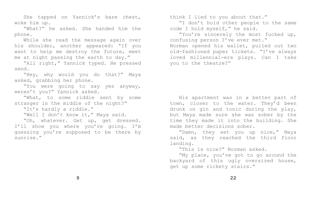She tapped on Yannick's bare chest, woke him up.

"What?" he asked. She handed him the phone.

While she read the message again over his shoulder, another appeared: "If you want to help me destroy the future, meet me at night passing the earth to day."

"All right," Yannick typed. He pressed send.

"Hey, why would you do that?" Maya asked, grabbing her phone.

"You were going to say yes anyway, weren't you?" Yannick asked.

"What, to some riddle sent by some stranger in the middle of the night?"

"It's hardly a riddle."

"Well I don't know it," Maya said.

"Oh, whatever. Get up, get dressed. I'll show you where you're going. I'm guessing you're supposed to be there by sunrise."

think I lied to you about that." "I don't hold other people to the same code I hold myself," he said. "You're sincerely the most fucked up, confusing person I've ever met." Norman opened his wallet, pulled out two old-fashioned paper tickets. "I've always loved millennial-era plays. Can I take you to the theatre?"

His apartment was in a better part of town, closer to the water. They'd been drunk on gin and tonic during the play, but Maya made sure she was sober by the time they made it into the building. She made better decisions sober. "Damn, they set you up nice," Maya said, as they reached the third floor landing.

"This is nice?" Norman asked. "My place, you've got to go around the backyard of this ugly oversized house, get up some rickety stairs."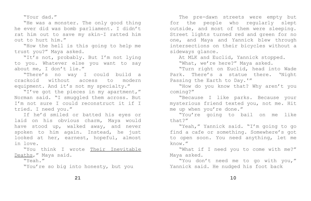The pre-dawn streets were empty but for the people who regularly slept outside, and most of them were sleeping. Street lights turned red and green for no one, and Maya and Yannick blew through intersections on their bicycles without a sideways glance.

At MLK and Euclid, Yannick stopped. "What, we're here?" Maya asked. "Turn right on Euclid, head into Wade Park. There's a statue there. 'Night Passing the Earth to Day.'" "How do you know that? Why aren't you coming?"

"Because I like parks. Because your mysterious friend texted you, not me. Hit me up when you're done." "You're going to bail on me like that?"

"Yeah," Yannick said. "I'm going to go find a cafe or something. Somewhere's got to open soon. You need anything, let me know."

"What if I need you to come with me?"

Maya asked.

"You don't need me to go with you," Yannick said. He nudged his foot back

**10**

"Your dad."

"He was a monster. The only good thing he ever did was bomb parliament. I didn't rat him out to save my skin–I ratted him out to hurt him."

"How the hell is this going to help me trust you?" Maya asked.

"It's not, probably. But I'm not lying to you. Whatever else you want to say about me, I don't lie."

"There's no way I could build a crackoid without access to modern equipment. And it's not my specialty."

"I've got the pieces in my apartment," Norman said. "I smuggled them across. But I'm not sure I could reconstruct it if I tried. I need you."

If he'd smiled or batted his eyes or laid on his obvious charm, Maya would have stood up, walked away, and never spoken to him again. Instead, he just looked at her, earnest, hopeful, almost in love.

"You think I wrote Their Inevitable Deaths," Maya said.

"Yeah."

"You're so big into honesty, but you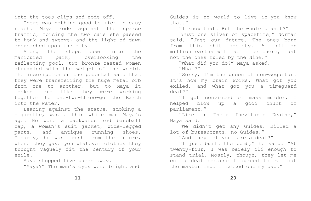into the toes clips and rode off.

There was nothing good to kick in easy reach. Maya rode against the sparse traffic, forcing the two cars she passed to honk and swerve, and the light of dawn encroached upon the city.

Along the steps down into the manicured park, overlooking the reflecting pool, two bronze-casted women struggled with the weight of the world. The inscription on the pedestal said that they were transferring the huge metal orb from one to another, but to Maya it looked more like they were working together to one-two-three-go the Earth into the water.

Leaning against the statue, smoking a cigarette, was a thin white man Maya's age. He wore a backwards red baseball cap, a woman's suit jacket, wide-legged pants, and antique running shoes. Clearly, he was fresh from the future, where they gave you whatever clothes they thought vaguely fit the century of your exile.

Maya stopped five paces away. "Maya?" The man's eyes were bright and

**11**

Guides is no world to live in–you know that."

"I know that. But the whole planet?" "Just one sliver of spacetime," Norman said. "Just our future. The ones born from this shit society. A trillion million earths will still be there, just not the ones ruled by the Nine." "What did you do?" Maya asked. "What?"

"Sorry, I'm the queen of non-sequitur. It's how my brain works. What got you exiled, and what got you a timeguard deal?"

"I got convicted of mass murder. I helped blow up a good chunk of parliament."

"Like in Their Inevitable Deaths,"

Maya said.

"We didn't get any Guides. Killed a lot of bureaucrats, no Guides."

"And they let you take a deal?"

"I just built the bomb," he said. "At twenty-four, I was barely old enough to stand trial. Mostly, though, they let me cut a deal because I agreed to rat out the mastermind. I ratted out my dad."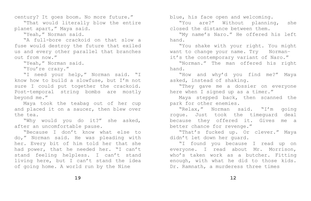blue, his face open and welcoming. "You are?" Without planning, she closed the distance between them. "My name's Naro." He offered his left hand.

"You shake with your right. You might want to change your name. Try Normanit's the contemporary variant of Naro." "Norman." The man offered his right hand.

"How and why'd you find me?" Maya asked, instead of shaking. "They gave me a dossier on everyone here when I signed up as a timer." Maya stepped back, then scanned the park for other enemies. "Relax," Norman said. "I'm going rogue. Just took the timeguard deal because they offered it. Gives me a better chance for revenge." "That's fucked up. Or clever." Maya didn't let down her guard.

"I found you because I read up on everyone. I read about Mr. Morrison, who's taken work as a butcher. Fitting enough, with what he did to those kids. Dr. Ramnath, a murderess three times

century? It goes boom. No more future."

"That would literally blow the entire planet apart," Maya said.

"Yeah," Norman said.

"A full-bore crackoid on that slow a fuse would destroy the future that exiled us and every other parallel that branches out from now."

"Yeah," Norman said.

"You're crazy."

"I need your help," Norman said. "I know how to build a slowfuse, but I'm not sure I could put together the crackoid. Post-temporal string bombs are mostly beyond me."

Maya took the teabag out of her cup and placed it on a saucer, then blew over the tea.

"Why would you do it?" she asked, after an uncomfortable pause.

"Because I don't know what else to do," Norman said. He was pleading with her. Every bit of him told her that she had power, that he needed her. "I can't stand feeling helpless. I can't stand living here, but I can't stand the idea of going home. A world run by the Nine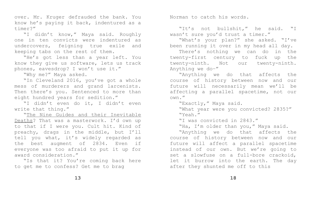over. Mr. Kruger defrauded the bank. You know he's paying it back, indentured as a timer?"

"I didn't know," Maya said. Roughly one in ten convicts were indentured as undercovers, feigning true exile and keeping tabs on the rest of them.

"He's got less than a year left. You know they give us software, lets us track phones, eavesdrop? I won't use it."

"Why me?" Maya asked.

"The Nine Guides and their Inevitable Deaths? That was a masterwork. I'd own up to that if I were you. Cult hit. Kind of preachy, drags in the middle, but I'll tell you what, it's widely regarded as the best augment of 2834. Even if everyone was too afraid to put it up for award consideration."

"In Cleveland 2016, you've got a whole mess of murderers and grand larcenists. Then there's you. Sentenced to more than eight hundred years for sedition."

"I didn't even do it, I didn't even write that thing."

"Is that it? You're coming back here to get me to confess? Get me to brag

Norman to catch his words.

"It's not bullshit," he said. "I wasn't sure you'd trust a timer." "What's your plan?" she asked. "I've been running it over in my head all day. There's nothing we can do in the twenty-first century to fuck up the twenty-ninth. Not our twenty-ninth. Anything we do–"

"Anything we do that affects the course of history between now and our future will necessarily mean we'll be affecting a parallel spacetime, not our own."

"Exactly," Maya said. "What year were you convicted? 2835?" "Yeah."

"I was convicted in 2843." "Ha, I'm older than you," Maya said. "Anything we do that affects the

course of history between now and our future will affect a parallel spacetime instead of our own. But we're going to set a slowfuse on a full-bore crackoid, let it burrow into the earth. The day after they shunted me off to this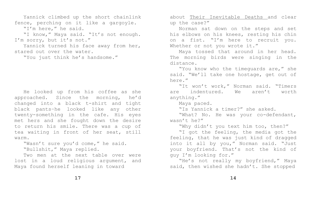about Their Inevitable Deaths and clear up the case?"

Norman sat down on the steps and set his elbows on his knees, resting his chin on a fist. "I'm here to recruit you. Whether or not you wrote it." Maya tossed that around in her head. The morning birds were singing in the distance.

"You know who the timeguards are," she said. "We'll take one hostage, get out of here."

"It won't work," Norman said. "Timers are indentured. We aren't worth anything."

Maya paced.

"Is Yannick a timer?" she asked. "What? No. He was your co-defendant, wasn't he?"

"Why didn't you text him too, then?" "I got the feeling, the media got the feeling, that he was just kind of dragged into it all by you," Norman said. "Just your boyfriend. That's not the kind of guy I'm looking for." "He's not really my boyfriend," Maya said, then wished she hadn't. She stopped

## **14**

Yannick climbed up the short chainlink fence, perching on it like a gargoyle.

"I'm here," he said.

"I know," Maya said. "It's not enough. I'm sorry, but it's not."

Yannick turned his face away from her, stared out over the water.

"You just think he's handsome."

He looked up from his coffee as she approached. Since the morning, he'd changed into a black t-shirt and tight black pants–he looked like any other twenty-something in the cafe. His eyes met hers and she fought down the desire to return his smile. There was a cup of tea waiting in front of her seat, still warm.

"Wasn't sure you'd come," he said. "Bullshit," Maya replied.

Two men at the next table over were lost in a loud religious argument, and Maya found herself leaning in toward